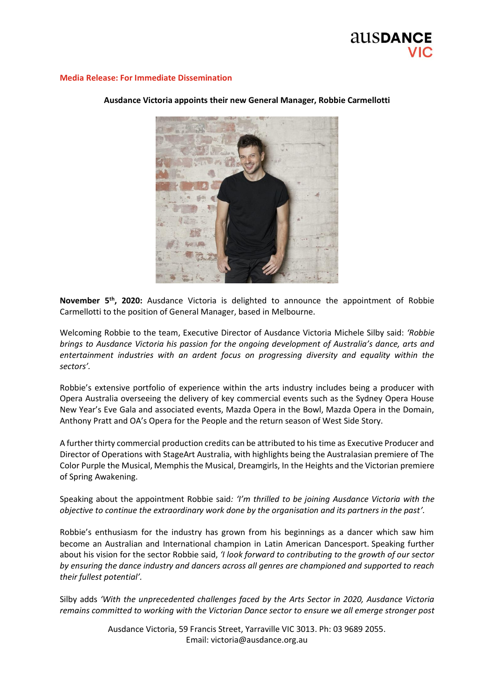

### **Media Release: For Immediate Dissemination**



# **Ausdance Victoria appoints their new General Manager, Robbie Carmellotti**

**November 5th, 2020:** Ausdance Victoria is delighted to announce the appointment of Robbie Carmellotti to the position of General Manager, based in Melbourne.

Welcoming Robbie to the team, Executive Director of Ausdance Victoria Michele Silby said: *'Robbie brings to Ausdance Victoria his passion for the ongoing development of Australia's dance, arts and entertainment industries with an ardent focus on progressing diversity and equality within the sectors'.*

Robbie's extensive portfolio of experience within the arts industry includes being a producer with Opera Australia overseeing the delivery of key commercial events such as the Sydney Opera House New Year's Eve Gala and associated events, Mazda Opera in the Bowl, Mazda Opera in the Domain, Anthony Pratt and OA's Opera for the People and the return season of West Side Story.

A further thirty commercial production credits can be attributed to his time as Executive Producer and Director of Operations with StageArt Australia, with highlights being the Australasian premiere of The Color Purple the Musical, Memphis the Musical, Dreamgirls, In the Heights and the Victorian premiere of Spring Awakening.

Speaking about the appointment Robbie said*: 'I'm thrilled to be joining Ausdance Victoria with the objective to continue the extraordinary work done by the organisation and its partners in the past'.* 

Robbie's enthusiasm for the industry has grown from his beginnings as a dancer which saw him become an Australian and International champion in Latin American Dancesport. Speaking further about his vision for the sector Robbie said, *'I look forward to contributing to the growth of our sector by ensuring the dance industry and dancers across all genres are championed and supported to reach their fullest potential'.*

Silby adds *'With the unprecedented challenges faced by the Arts Sector in 2020, Ausdance Victoria remains committed to working with the Victorian Dance sector to ensure we all emerge stronger post* 

> Ausdance Victoria, 59 Francis Street, Yarraville VIC 3013. Ph: 03 9689 2055. Email: victoria@ausdance.org.au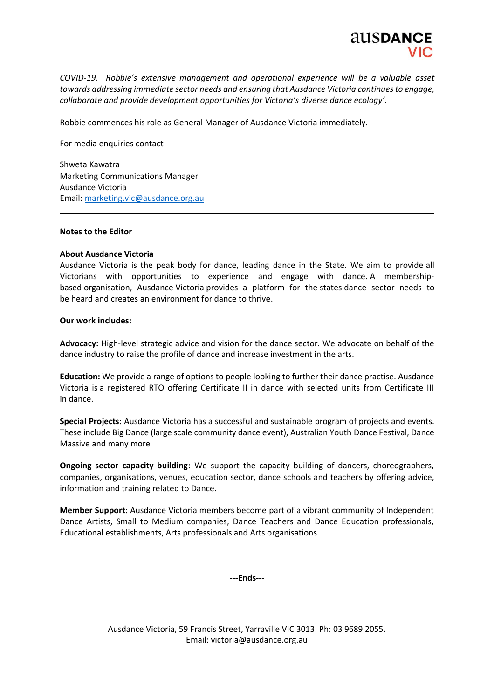

*COVID-19. Robbie's extensive management and operational experience will be a valuable asset towards addressing immediate sector needs and ensuring that Ausdance Victoria continuesto engage, collaborate and provide development opportunities for Victoria's diverse dance ecology'*.

Robbie commences his role as General Manager of Ausdance Victoria immediately.

For media enquiries contact

Shweta Kawatra Marketing Communications Manager Ausdance Victoria Email: [marketing.vic@ausdance.org.au](mailto:marketing.vic@ausdance.org.au)

## **Notes to the Editor**

### **About Ausdance Victoria**

Ausdance Victoria is the peak body for dance, leading dance in the State. We aim to provide all Victorians with opportunities to experience and engage with dance. A membershipbased organisation, Ausdance Victoria provides a platform for the states dance sector needs to be heard and creates an environment for dance to thrive.

### **Our work includes:**

**Advocacy:** High-level strategic advice and vision for the dance sector. We advocate on behalf of the dance industry to raise the profile of dance and increase investment in the arts.

**Education:** We provide a range of options to people looking to further their dance practise. Ausdance Victoria is a registered RTO offering Certificate II in dance with selected units from Certificate III in dance.

**Special Projects:** Ausdance Victoria has a successful and sustainable program of projects and events. These include Big Dance (large scale community dance event), Australian Youth Dance Festival, Dance Massive and many more

**Ongoing sector capacity building**: We support the capacity building of dancers, choreographers, companies, organisations, venues, education sector, dance schools and teachers by offering advice, information and training related to Dance.

**Member Support:** Ausdance Victoria members become part of a vibrant community of Independent Dance Artists, Small to Medium companies, Dance Teachers and Dance Education professionals, Educational establishments, Arts professionals and Arts organisations.

**---Ends---**

Ausdance Victoria, 59 Francis Street, Yarraville VIC 3013. Ph: 03 9689 2055. Email: victoria@ausdance.org.au